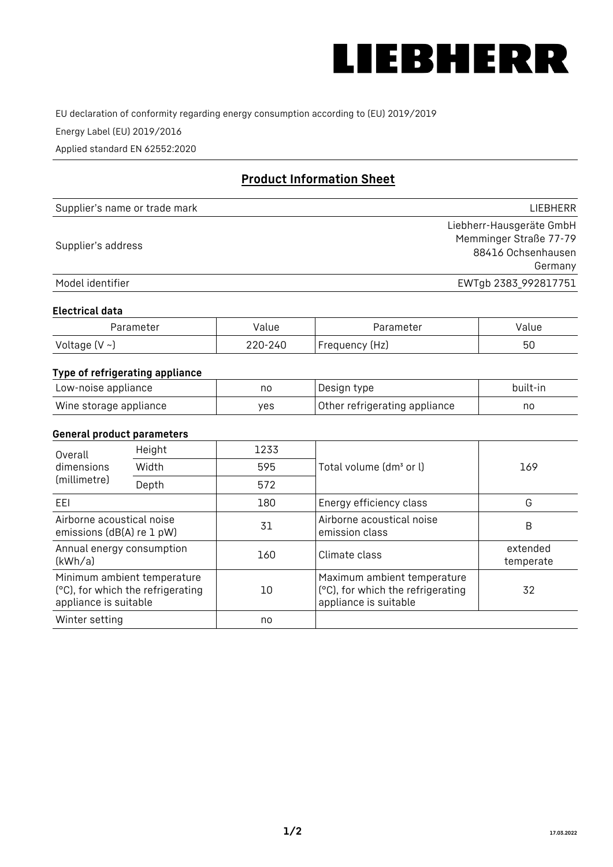

EU declaration of conformity regarding energy consumption according to (EU) 2019/2019

Energy Label (EU) 2019/2016

Applied standard EN 62552:2020

# **Product Information Sheet**

| Supplier's name or trade mark | LIEBHERR                 |
|-------------------------------|--------------------------|
|                               | Liebherr-Hausgeräte GmbH |
| Supplier's address            | Memminger Straße 77-79   |
|                               | 88416 Ochsenhausen       |
|                               | Germany                  |
| Model identifier              | EWTgb 2383_992817751     |

#### **Electrical data**

| Parameter     | Value   | Parameter      | Value |
|---------------|---------|----------------|-------|
| Voltage (V ~) | 220-240 | Frequency (Hz) | 50    |

# **Type of refrigerating appliance**

| Low-noise appliance    | nc  | , Design type i               | built-in |
|------------------------|-----|-------------------------------|----------|
| Wine storage appliance | ves | Other refrigerating appliance | nc       |

#### **General product parameters**

| Height<br>Overall<br>dimensions<br>Width<br>(millimetre)<br>Depth                         | 1233 |     |                                                                                           |                       |
|-------------------------------------------------------------------------------------------|------|-----|-------------------------------------------------------------------------------------------|-----------------------|
|                                                                                           |      | 595 | Total volume (dm <sup>3</sup> or l)                                                       | 169                   |
|                                                                                           |      | 572 |                                                                                           |                       |
| EEI                                                                                       |      | 180 | Energy efficiency class                                                                   | G                     |
| Airborne acoustical noise<br>emissions (dB(A) re 1 pW)                                    |      | 31  | Airborne acoustical noise<br>emission class                                               | B                     |
| Annual energy consumption<br>(kWh/a)                                                      |      | 160 | Climate class                                                                             | extended<br>temperate |
| Minimum ambient temperature<br>(°C), for which the refrigerating<br>appliance is suitable |      | 10  | Maximum ambient temperature<br>(°C), for which the refrigerating<br>appliance is suitable | 32                    |
| Winter setting                                                                            |      | no  |                                                                                           |                       |